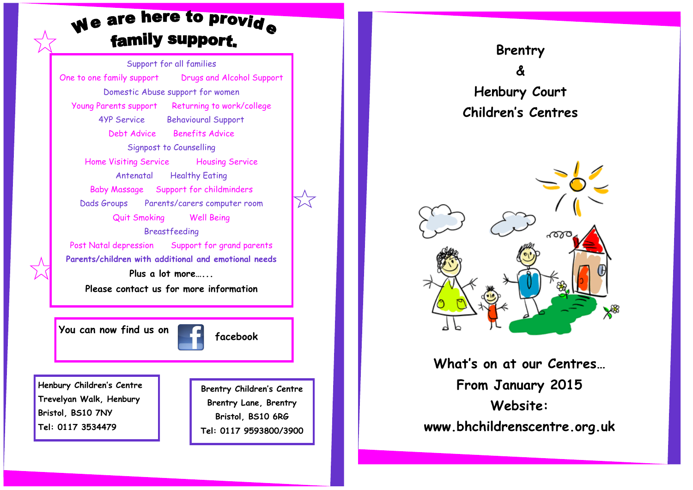# We are here to provide family support.

Support for all families One to one family support Drugs and Alcohol Support Domestic Abuse support for women Young Parents support Returning to work/college 4YP Service Behavioural Support Debt Advice Benefits Advice Signpost to Counselling Home Visiting Service Housing Service Antenatal Healthy Eating Baby Massage Support for childminders Dads Groups Parents/carers computer room Quit Smoking Well Being Breastfeeding Post Natal depression Support for grand parents **Parents/children with additional and emotional needs Plus a lot more…... Please contact us for more information**

**You can now find us on the facebook** 

**Henbury Children's Centre Trevelyan Walk, Henbury Bristol, BS10 7NY Tel: 0117 3534479**

**Brentry Children's Centre Brentry Lane, Brentry Bristol, BS10 6RG Tel: 0117 9593800/3900**





**What's on at our Centres… From January 2015 Website: www.bhchildrenscentre.org.uk**